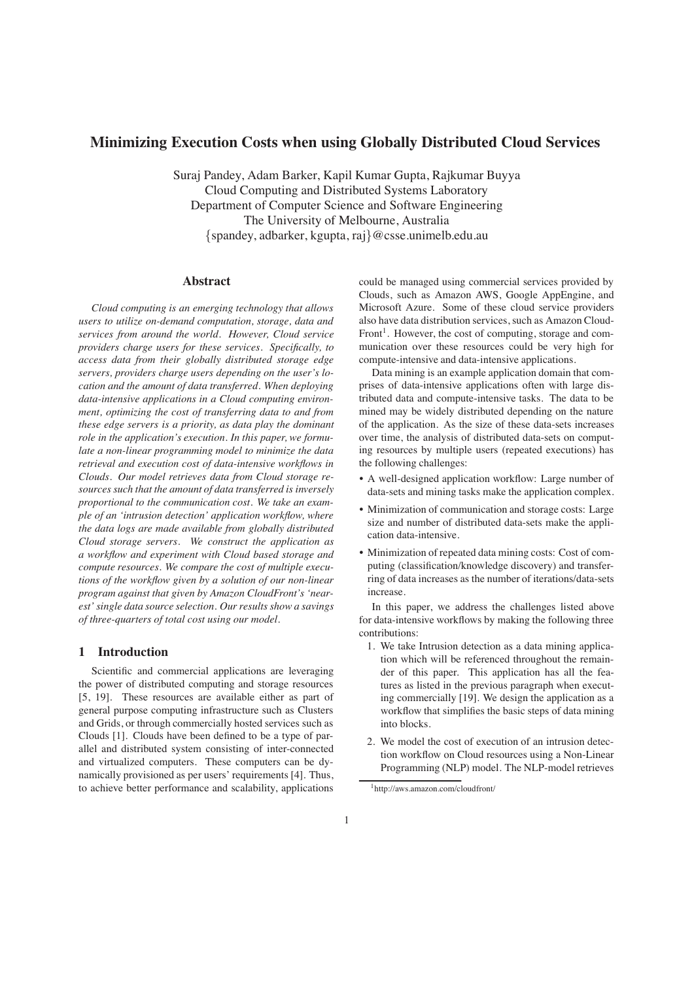# **Minimizing Execution Costs when using Globally Distributed Cloud Services**

Suraj Pandey, Adam Barker, Kapil Kumar Gupta, Rajkumar Buyya Cloud Computing and Distributed Systems Laboratory Department of Computer Science and Software Engineering The University of Melbourne, Australia {spandey, adbarker, kgupta, raj}@csse.unimelb.edu.au

# **Abstract**

*Cloud computing is an emerging technology that allows users to utilize on-demand computation, storage, data and services from around the world. However, Cloud service providers charge users for these services. Specifically, to access data from their globally distributed storage edge servers, providers charge users depending on the user's location and the amount of data transferred. When deploying data-intensive applications in a Cloud computing environment, optimizing the cost of transferring data to and from these edge servers is a priority, as data play the dominant role in the application's execution. In this paper, we formulate a non-linear programming model to minimize the data retrieval and execution cost of data-intensive workflows in Clouds. Our model retrieves data from Cloud storage resources such that the amount of data transferred is inversely proportional to the communication cost. We take an example of an 'intrusion detection' application workflow, where the data logs are made available from globally distributed Cloud storage servers. We construct the application as a workflow and experiment with Cloud based storage and compute resources. We compare the cost of multiple executions of the workflow given by a solution of our non-linear program against that given by Amazon CloudFront's 'nearest' single data source selection. Our results show a savings of three-quarters of total cost using our model.*

# **1 Introduction**

Scientific and commercial applications are leveraging the power of distributed computing and storage resources [5, 19]. These resources are available either as part of general purpose computing infrastructure such as Clusters and Grids, or through commercially hosted services such as Clouds [1]. Clouds have been defined to be a type of parallel and distributed system consisting of inter-connected and virtualized computers. These computers can be dynamically provisioned as per users' requirements [4]. Thus, to achieve better performance and scalability, applications

could be managed using commercial services provided by Clouds, such as Amazon AWS, Google AppEngine, and Microsoft Azure. Some of these cloud service providers also have data distribution services, such as Amazon Cloud-Front<sup>1</sup>. However, the cost of computing, storage and communication over these resources could be very high for compute-intensive and data-intensive applications.

Data mining is an example application domain that comprises of data-intensive applications often with large distributed data and compute-intensive tasks. The data to be mined may be widely distributed depending on the nature of the application. As the size of these data-sets increases over time, the analysis of distributed data-sets on computing resources by multiple users (repeated executions) has the following challenges:

- A well-designed application workflow: Large number of data-sets and mining tasks make the application complex.
- Minimization of communication and storage costs: Large size and number of distributed data-sets make the application data-intensive.
- Minimization of repeated data mining costs: Cost of computing (classification/knowledge discovery) and transferring of data increases as the number of iterations/data-sets increase.

In this paper, we address the challenges listed above for data-intensive workflows by making the following three contributions:

- 1. We take Intrusion detection as a data mining application which will be referenced throughout the remainder of this paper. This application has all the features as listed in the previous paragraph when executing commercially [19]. We design the application as a workflow that simplifies the basic steps of data mining into blocks.
- 2. We model the cost of execution of an intrusion detection workflow on Cloud resources using a Non-Linear Programming (NLP) model. The NLP-model retrieves

<sup>1</sup>http://aws.amazon.com/cloudfront/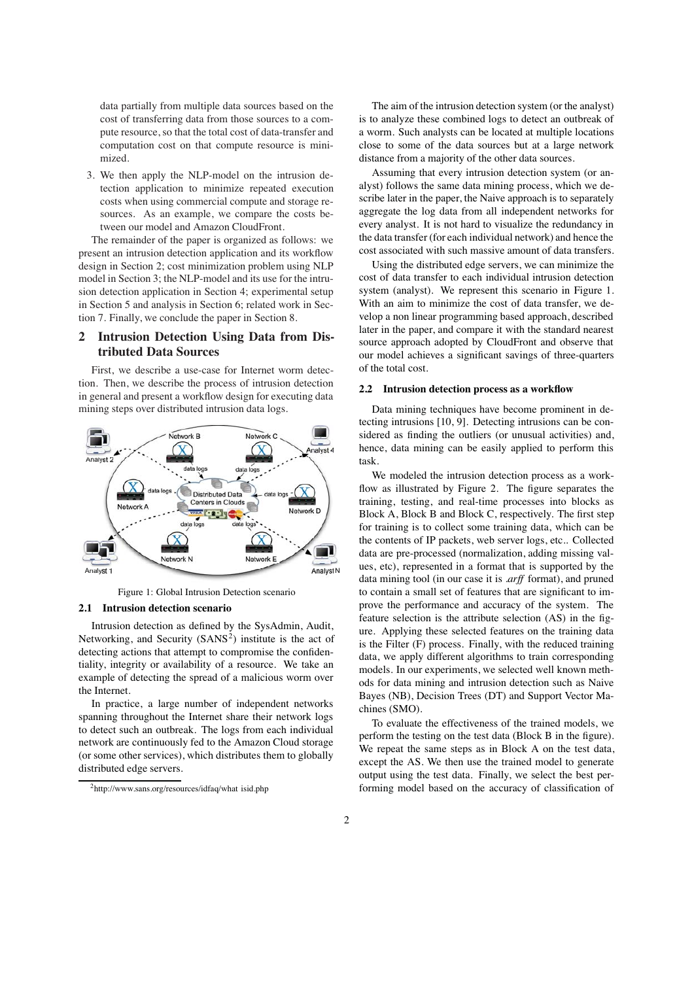data partially from multiple data sources based on the cost of transferring data from those sources to a compute resource, so that the total cost of data-transfer and computation cost on that compute resource is minimized.

3. We then apply the NLP-model on the intrusion detection application to minimize repeated execution costs when using commercial compute and storage resources. As an example, we compare the costs between our model and Amazon CloudFront.

The remainder of the paper is organized as follows: we present an intrusion detection application and its workflow design in Section 2; cost minimization problem using NLP model in Section 3; the NLP-model and its use for the intrusion detection application in Section 4; experimental setup in Section 5 and analysis in Section 6; related work in Section 7. Finally, we conclude the paper in Section 8.

# **2 Intrusion Detection Using Data from Distributed Data Sources**

First, we describe a use-case for Internet worm detection. Then, we describe the process of intrusion detection in general and present a workflow design for executing data mining steps over distributed intrusion data logs.



Figure 1: Global Intrusion Detection scenario

## **2.1 Intrusion detection scenario**

Intrusion detection as defined by the SysAdmin, Audit, Networking, and Security (SANS<sup>2</sup>) institute is the act of detecting actions that attempt to compromise the confidentiality, integrity or availability of a resource. We take an example of detecting the spread of a malicious worm over the Internet.

In practice, a large number of independent networks spanning throughout the Internet share their network logs to detect such an outbreak. The logs from each individual network are continuously fed to the Amazon Cloud storage (or some other services), which distributes them to globally distributed edge servers.

The aim of the intrusion detection system (or the analyst) is to analyze these combined logs to detect an outbreak of a worm. Such analysts can be located at multiple locations close to some of the data sources but at a large network distance from a majority of the other data sources.

Assuming that every intrusion detection system (or analyst) follows the same data mining process, which we describe later in the paper, the Naive approach is to separately aggregate the log data from all independent networks for every analyst. It is not hard to visualize the redundancy in the data transfer (for each individual network) and hence the cost associated with such massive amount of data transfers.

Using the distributed edge servers, we can minimize the cost of data transfer to each individual intrusion detection system (analyst). We represent this scenario in Figure 1. With an aim to minimize the cost of data transfer, we develop a non linear programming based approach, described later in the paper, and compare it with the standard nearest source approach adopted by CloudFront and observe that our model achieves a significant savings of three-quarters of the total cost.

## **2.2 Intrusion detection process as a workflow**

Data mining techniques have become prominent in detecting intrusions [10, 9]. Detecting intrusions can be considered as finding the outliers (or unusual activities) and, hence, data mining can be easily applied to perform this task.

We modeled the intrusion detection process as a workflow as illustrated by Figure 2. The figure separates the training, testing, and real-time processes into blocks as Block A, Block B and Block C, respectively. The first step for training is to collect some training data, which can be the contents of IP packets, web server logs, etc.. Collected data are pre-processed (normalization, adding missing values, etc), represented in a format that is supported by the data mining tool (in our case it is *.arff* format), and pruned to contain a small set of features that are significant to improve the performance and accuracy of the system. The feature selection is the attribute selection (AS) in the figure. Applying these selected features on the training data is the Filter (F) process. Finally, with the reduced training data, we apply different algorithms to train corresponding models. In our experiments, we selected well known methods for data mining and intrusion detection such as Naive Bayes (NB), Decision Trees (DT) and Support Vector Machines (SMO).

To evaluate the effectiveness of the trained models, we perform the testing on the test data (Block B in the figure). We repeat the same steps as in Block A on the test data, except the AS. We then use the trained model to generate output using the test data. Finally, we select the best performing model based on the accuracy of classification of

<sup>2</sup>http://www.sans.org/resources/idfaq/what isid.php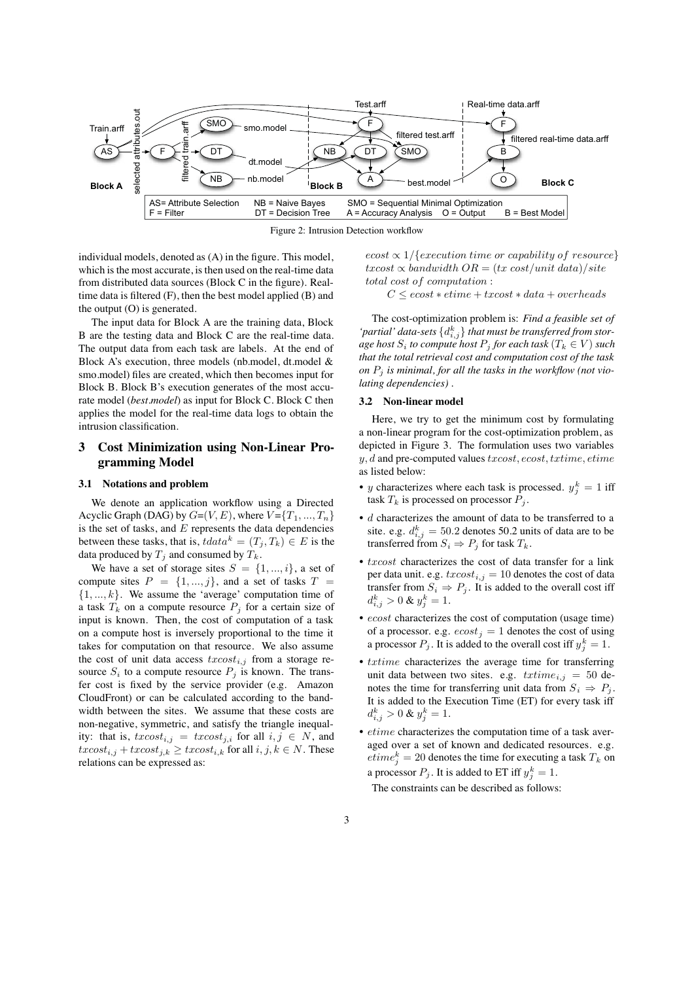

Figure 2: Intrusion Detection workflow

individual models, denoted as (A) in the figure. This model, which is the most accurate, is then used on the real-time data from distributed data sources (Block C in the figure). Realtime data is filtered (F), then the best model applied (B) and the output (O) is generated.

The input data for Block A are the training data, Block B are the testing data and Block C are the real-time data. The output data from each task are labels. At the end of Block A's execution, three models (nb.model, dt.model & smo.model) files are created, which then becomes input for Block B. Block B's execution generates of the most accurate model (*best.model*) as input for Block C. Block C then applies the model for the real-time data logs to obtain the intrusion classification.

# **3 Cost Minimization using Non-Linear Programming Model**

# **3.1 Notations and problem**

We denote an application workflow using a Directed Acyclic Graph (DAG) by  $G=(V,E)$ , where  $V = \{T_1, ..., T_n\}$ is the set of tasks, and  $E$  represents the data dependencies between these tasks, that is,  $tdata^k = (T_i, T_k) \in E$  is the data produced by  $T_i$  and consumed by  $T_k$ .

We have a set of storage sites  $S = \{1, ..., i\}$ , a set of compute sites  $P = \{1, ..., j\}$ , and a set of tasks  $T =$  $\{1, ..., k\}$ . We assume the 'average' computation time of a task  $T_k$  on a compute resource  $P_i$  for a certain size of input is known. Then, the cost of computation of a task on a compute host is inversely proportional to the time it takes for computation on that resource. We also assume the cost of unit data access  $txcost_{i,j}$  from a storage resource  $S_i$  to a compute resource  $P_j$  is known. The transfer cost is fixed by the service provider (e.g. Amazon CloudFront) or can be calculated according to the bandwidth between the sites. We assume that these costs are non-negative, symmetric, and satisfy the triangle inequality: that is,  $txcost_{i,j} = txcost_{j,i}$  for all  $i, j \in N$ , and  $txcost_{i,j} + txcost_{j,k} \ge txcost_{i,k}$  for all  $i, j, k \in N$ . These relations can be expressed as:

 $\cos t \propto 1/\{execution \ time \ or \ capability \ of \ resource\}$  $txcost \propto bandwidth \ OR = (tx \ cost/unit \ data)/site$ total cost of computation :

 $C \leq e \cos t * e \sin e + t x \cos t * d \alpha +$  overheads

The cost-optimization problem is: *Find a feasible set of* 'partial' data-sets  $\{d_{i,j}^k\}$  that must be transferred from stor*age host*  $S_i$  *to compute host*  $P_j$  *for each task*  $(T_k \in V)$  *such that the total retrieval cost and computation cost of the task* on  $P_j$  is minimal, for all the tasks in the workflow (not vio*lating dependencies)* .

## **3.2 Non-linear model**

Here, we try to get the minimum cost by formulating a non-linear program for the cost-optimization problem, as depicted in Figure 3. The formulation uses two variables  $y, d$  and pre-computed values  $txcost, ecost, txtime, etime$ as listed below:

- y characterizes where each task is processed.  $y_i^k = 1$  iff task  $T_k$  is processed on processor  $P_i$ .
- $\bullet$  d characterizes the amount of data to be transferred to a site. e.g.  $d_{i,j}^k = 50.2$  denotes 50.2 units of data are to be transferred from  $S_i \Rightarrow P_j$  for task  $T_k$ .
- txcost characterizes the cost of data transfer for a link per data unit. e.g.  $txcost_{i,j} = 10$  denotes the cost of data transfer from  $S_i \Rightarrow P_j$ . It is added to the overall cost iff  $d_{i,j}^k > 0$  &  $y_j^k = 1$ .
- ecost characterizes the cost of computation (usage time) of a processor. e.g.  $ecost_i = 1$  denotes the cost of using a processor  $P_j$ . It is added to the overall cost iff  $y_j^k = 1$ .
- txtime characterizes the average time for transferring unit data between two sites. e.g.  $t$ *xtime*<sub>i,j</sub> = 50 denotes the time for transferring unit data from  $S_i \Rightarrow P_j$ . It is added to the Execution Time (ET) for every task iff  $d_{i,j}^k > 0$  &  $y_j^k = 1$ .
- etime characterizes the computation time of a task averaged over a set of known and dedicated resources. e.g.  $etime_j^k = 20$  denotes the time for executing a task  $T_k$  on a processor  $P_j$ . It is added to ET iff  $y_j^k = 1$ . The constraints can be described as follows: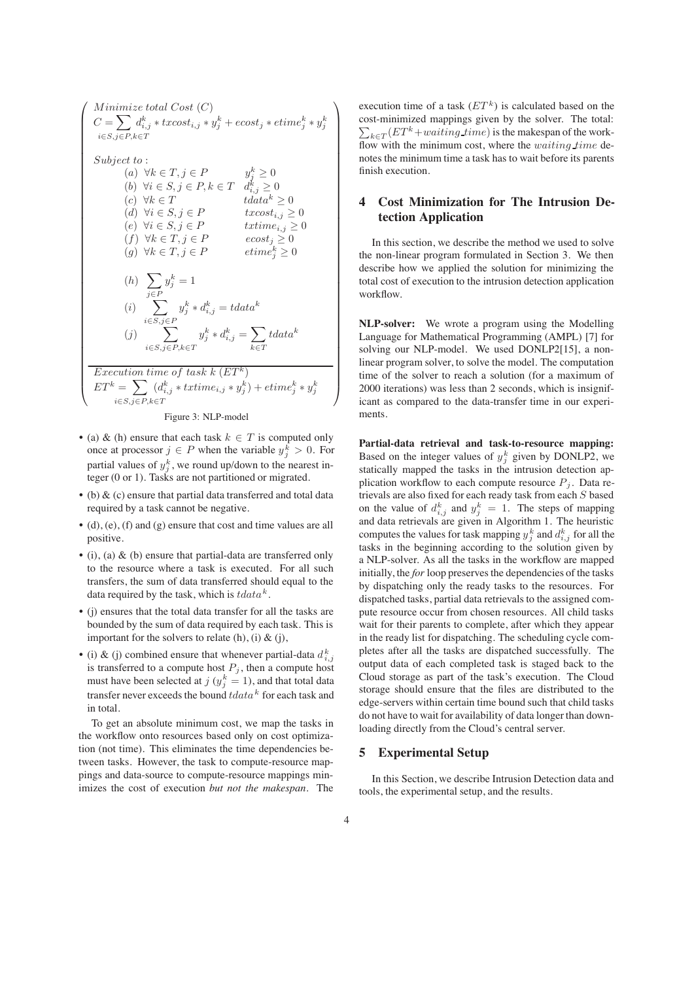$$
\begin{pmatrix}\nMinimize total Cost (C) \\
C = \sum_{i \in S, j \in P, k \in T} d_{i,j}^k * txcost_{i,j} * y_j^k + ecost_j * etime_j^k * y_j^k \\
Subject to : \\
(a) \forall k \in T, j \in P & y_j^k \ge 0 \\
(b) \forall i \in S, j \in P, k \in T & d_{i,j}^k \ge 0 \\
(c) \forall k \in T & tdata^k \ge 0 \\
(d) \forall i \in S, j \in P & txcost_{i,j} \ge 0 \\
(e) \forall i \in S, j \in P & txcost_{i,j} \ge 0 \\
(f) \forall k \in T, j \in P & ecost_j \ge 0 \\
(g) \forall k \in T, j \in P & eots_j \ge 0 \\
(g) \forall k \in T, j \in P & etime_j^k \ge 0 \\
(h) \sum_{i \in P} y_j^k = 1 \\
(i) \sum_{i \in S, j \in P} y_j^k * d_{i,j}^k = tdata^k \\
(j) \sum_{i \in S, j \in P, k \in T} y_j^k * d_{i,j}^k = \sum_{k \in T} tdata^k \\
\hline Execution time of task k (ET^k) \\
ET^k = \sum_{i \in S, j \in P, k \in T} (d_{i,j}^k * txtime_{i,j} * y_j^k) + etime_j^k * y_j^k\n\end{pmatrix}
$$

Figure 3: NLP-model

- (a) & (h) ensure that each task  $k \in T$  is computed only once at processor  $j \in P$  when the variable  $y_j^{\hat{k}} > 0$ . For partial values of  $y_j^k$ , we round up/down to the nearest integer (0 or 1). Tasks are not partitioned or migrated.
- (b) & (c) ensure that partial data transferred and total data required by a task cannot be negative.
- (d), (e), (f) and (g) ensure that cost and time values are all positive.
- (i), (a) & (b) ensure that partial-data are transferred only to the resource where a task is executed. For all such transfers, the sum of data transferred should equal to the data required by the task, which is  $tdata^k$ .
- (j) ensures that the total data transfer for all the tasks are bounded by the sum of data required by each task. This is important for the solvers to relate  $(h)$ ,  $(i)$  &  $(i)$ ,
- (i) & (j) combined ensure that whenever partial-data  $d_{i,j}^k$ is transferred to a compute host  $P_j$ , then a compute host must have been selected at  $j$  ( $y_j^k = 1$ ), and that total data transfer never exceeds the bound  $tdata^k$  for each task and in total.

To get an absolute minimum cost, we map the tasks in the workflow onto resources based only on cost optimization (not time). This eliminates the time dependencies between tasks. However, the task to compute-resource mappings and data-source to compute-resource mappings minimizes the cost of execution *but not the makespan*. The execution time of a task  $(ET<sup>k</sup>)$  is calculated based on the cost-minimized mappings given by the solver. The total:  $\sum_{k \in T} (ET^k+waiting\_time)$  is the makespan of the workflow with the minimum cost, where the *waiting time* denotes the minimum time a task has to wait before its parents finish execution.

# **4 Cost Minimization for The Intrusion Detection Application**

In this section, we describe the method we used to solve the non-linear program formulated in Section 3. We then describe how we applied the solution for minimizing the total cost of execution to the intrusion detection application workflow.

**NLP-solver:** We wrote a program using the Modelling Language for Mathematical Programming (AMPL) [7] for solving our NLP-model. We used DONLP2[15], a nonlinear program solver, to solve the model. The computation time of the solver to reach a solution (for a maximum of 2000 iterations) was less than 2 seconds, which is insignificant as compared to the data-transfer time in our experiments.

**Partial-data retrieval and task-to-resource mapping:** Based on the integer values of  $y_j^k$  given by DONLP2, we statically mapped the tasks in the intrusion detection application workflow to each compute resource  $P_i$ . Data retrievals are also fixed for each ready task from each S based on the value of  $d_{i,j}^k$  and  $y_j^k = 1$ . The steps of mapping and data retrievals are given in Algorithm 1. The heuristic computes the values for task mapping  $y_j^k$  and  $d_{i,j}^k$  for all the tasks in the beginning according to the solution given by a NLP-solver. As all the tasks in the workflow are mapped initially, the *for* loop preserves the dependencies of the tasks by dispatching only the ready tasks to the resources. For dispatched tasks, partial data retrievals to the assigned compute resource occur from chosen resources. All child tasks wait for their parents to complete, after which they appear in the ready list for dispatching. The scheduling cycle completes after all the tasks are dispatched successfully. The output data of each completed task is staged back to the Cloud storage as part of the task's execution. The Cloud storage should ensure that the files are distributed to the edge-servers within certain time bound such that child tasks do not have to wait for availability of data longer than downloading directly from the Cloud's central server.

# **5 Experimental Setup**

In this Section, we describe Intrusion Detection data and tools, the experimental setup, and the results.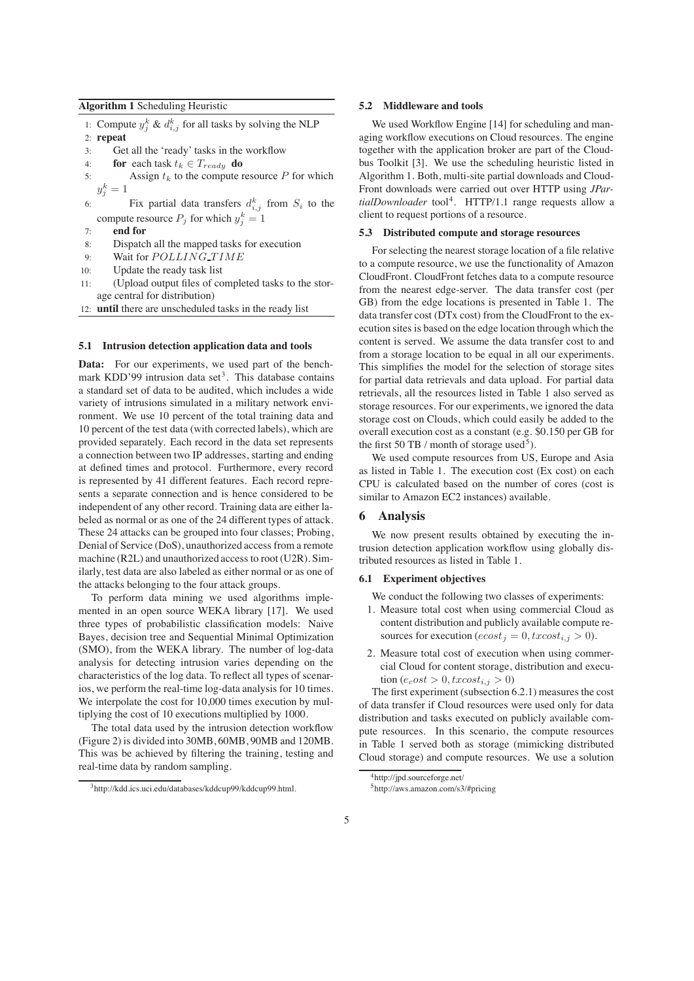## **Algorithm 1** Scheduling Heuristic

1: Compute  $y_j^k$  &  $d_{i,j}^k$  for all tasks by solving the NLP

- 2: **repeat**
- 3: Get all the 'ready' tasks in the workflow
- 4: **for** each task  $t_k \in T_{ready}$  **do**<br>5: Assign  $t_k$  to the compute
- Assign  $t_k$  to the compute resource P for which  $y_j^k = 1$
- 6: Fix partial data transfers  $d_{i,j}^k$  from  $S_i$  to the compute resource  $P_j$  for which  $y_j^k = 1$
- 7: **end for**
- 8: Dispatch all the mapped tasks for execution
- 9: Wait for POLLING TIME
- 10: Update the ready task list
- 11: (Upload output files of completed tasks to the storage central for distribution)
- 12: **until** there are unscheduled tasks in the ready list

#### **5.1 Intrusion detection application data and tools**

**Data:** For our experiments, we used part of the benchmark KDD'99 intrusion data set<sup>3</sup>. This database contains a standard set of data to be audited, which includes a wide variety of intrusions simulated in a military network environment. We use 10 percent of the total training data and 10 percent of the test data (with corrected labels), which are provided separately. Each record in the data set represents a connection between two IP addresses, starting and ending at defined times and protocol. Furthermore, every record is represented by 41 different features. Each record represents a separate connection and is hence considered to be independent of any other record. Training data are either labeled as normal or as one of the 24 different types of attack. These 24 attacks can be grouped into four classes; Probing, Denial of Service (DoS), unauthorized access from a remote machine (R2L) and unauthorized access to root (U2R). Similarly, test data are also labeled as either normal or as one of the attacks belonging to the four attack groups.

To perform data mining we used algorithms implemented in an open source WEKA library [17]. We used three types of probabilistic classification models: Naive Bayes, decision tree and Sequential Minimal Optimization (SMO), from the WEKA library. The number of log-data analysis for detecting intrusion varies depending on the characteristics of the log data. To reflect all types of scenarios, we perform the real-time log-data analysis for 10 times. We interpolate the cost for 10,000 times execution by multiplying the cost of 10 executions multiplied by 1000.

The total data used by the intrusion detection workflow (Figure 2) is divided into 30MB, 60MB, 90MB and 120MB. This was be achieved by filtering the training, testing and real-time data by random sampling.

#### 3http://kdd.ics.uci.edu/databases/kddcup99/kddcup99.html.

### **5.2 Middleware and tools**

We used Workflow Engine [14] for scheduling and managing workflow executions on Cloud resources. The engine together with the application broker are part of the Cloudbus Toolkit [3]. We use the scheduling heuristic listed in Algorithm 1. Both, multi-site partial downloads and Cloud-Front downloads were carried out over HTTP using *JPar*tialDownloader tool<sup>4</sup>. HTTP/1.1 range requests allow a client to request portions of a resource.

#### **5.3 Distributed compute and storage resources**

For selecting the nearest storage location of a file relative to a compute resource, we use the functionality of Amazon CloudFront. CloudFront fetches data to a compute resource from the nearest edge-server. The data transfer cost (per GB) from the edge locations is presented in Table 1. The data transfer cost (DTx cost) from the CloudFront to the execution sites is based on the edge location through which the content is served. We assume the data transfer cost to and from a storage location to be equal in all our experiments. This simplifies the model for the selection of storage sites for partial data retrievals and data upload. For partial data retrievals, all the resources listed in Table 1 also served as storage resources. For our experiments, we ignored the data storage cost on Clouds, which could easily be added to the overall execution cost as a constant (e.g. \$0.150 per GB for the first 50 TB / month of storage used<sup>5</sup>).

We used compute resources from US, Europe and Asia as listed in Table 1. The execution cost (Ex cost) on each CPU is calculated based on the number of cores (cost is similar to Amazon EC2 instances) available.

# **6 Analysis**

We now present results obtained by executing the intrusion detection application workflow using globally distributed resources as listed in Table 1.

## **6.1 Experiment objectives**

We conduct the following two classes of experiments:

- 1. Measure total cost when using commercial Cloud as content distribution and publicly available compute resources for execution ( $ecost_j = 0, txcost_{i,j} > 0$ ).
- 2. Measure total cost of execution when using commercial Cloud for content storage, distribution and execution ( $e_{c}ost > 0, txcost_{i,j} > 0$ )

The first experiment (subsection 6.2.1) measures the cost of data transfer if Cloud resources were used only for data distribution and tasks executed on publicly available compute resources. In this scenario, the compute resources in Table 1 served both as storage (mimicking distributed Cloud storage) and compute resources. We use a solution

5http://aws.amazon.com/s3/#pricing

<sup>&</sup>lt;sup>4</sup>http://jpd.sourceforge.net/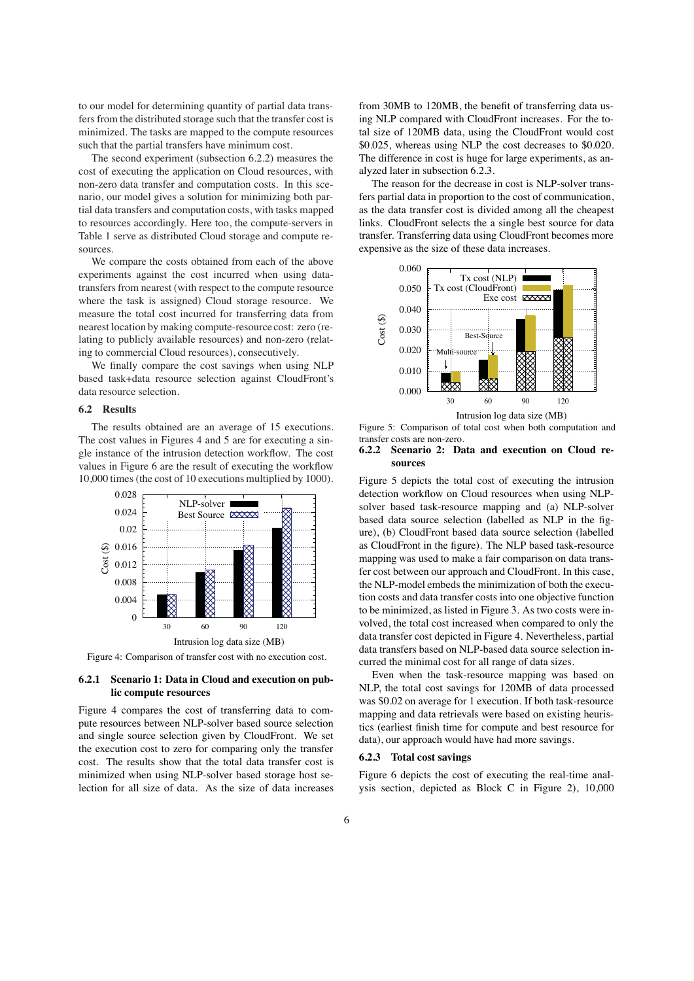to our model for determining quantity of partial data transfers from the distributed storage such that the transfer cost is minimized. The tasks are mapped to the compute resources such that the partial transfers have minimum cost.

The second experiment (subsection 6.2.2) measures the cost of executing the application on Cloud resources, with non-zero data transfer and computation costs. In this scenario, our model gives a solution for minimizing both partial data transfers and computation costs, with tasks mapped to resources accordingly. Here too, the compute-servers in Table 1 serve as distributed Cloud storage and compute resources.

We compare the costs obtained from each of the above experiments against the cost incurred when using datatransfers from nearest (with respect to the compute resource where the task is assigned) Cloud storage resource. We measure the total cost incurred for transferring data from nearest location by making compute-resource cost: zero (relating to publicly available resources) and non-zero (relating to commercial Cloud resources), consecutively.

We finally compare the cost savings when using NLP based task+data resource selection against CloudFront's data resource selection.

## **6.2 Results**

The results obtained are an average of 15 executions. The cost values in Figures 4 and 5 are for executing a single instance of the intrusion detection workflow. The cost values in Figure 6 are the result of executing the workflow 10,000 times (the cost of 10 executions multiplied by 1000).



Figure 4: Comparison of transfer cost with no execution cost.

# **6.2.1 Scenario 1: Data in Cloud and execution on public compute resources**

Figure 4 compares the cost of transferring data to compute resources between NLP-solver based source selection and single source selection given by CloudFront. We set the execution cost to zero for comparing only the transfer cost. The results show that the total data transfer cost is minimized when using NLP-solver based storage host selection for all size of data. As the size of data increases from 30MB to 120MB, the benefit of transferring data using NLP compared with CloudFront increases. For the total size of 120MB data, using the CloudFront would cost \$0.025, whereas using NLP the cost decreases to \$0.020. The difference in cost is huge for large experiments, as analyzed later in subsection 6.2.3.

The reason for the decrease in cost is NLP-solver transfers partial data in proportion to the cost of communication, as the data transfer cost is divided among all the cheapest links. CloudFront selects the a single best source for data transfer. Transferring data using CloudFront becomes more expensive as the size of these data increases.



Figure 5: Comparison of total cost when both computation and transfer costs are non-zero.

## **6.2.2 Scenario 2: Data and execution on Cloud resources**

Figure 5 depicts the total cost of executing the intrusion detection workflow on Cloud resources when using NLPsolver based task-resource mapping and (a) NLP-solver based data source selection (labelled as NLP in the figure), (b) CloudFront based data source selection (labelled as CloudFront in the figure). The NLP based task-resource mapping was used to make a fair comparison on data transfer cost between our approach and CloudFront. In this case, the NLP-model embeds the minimization of both the execution costs and data transfer costs into one objective function to be minimized, as listed in Figure 3. As two costs were involved, the total cost increased when compared to only the data transfer cost depicted in Figure 4. Nevertheless, partial data transfers based on NLP-based data source selection incurred the minimal cost for all range of data sizes.

Even when the task-resource mapping was based on NLP, the total cost savings for 120MB of data processed was \$0.02 on average for 1 execution. If both task-resource mapping and data retrievals were based on existing heuristics (earliest finish time for compute and best resource for data), our approach would have had more savings.

## **6.2.3 Total cost savings**

Figure 6 depicts the cost of executing the real-time analysis section, depicted as Block C in Figure 2), 10,000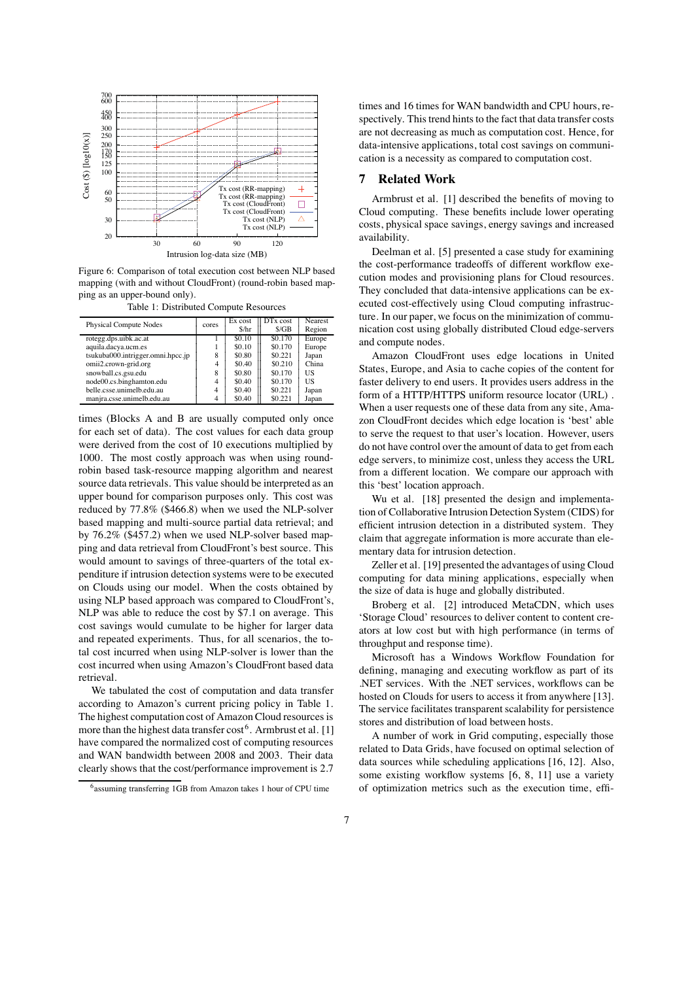

Figure 6: Comparison of total execution cost between NLP based mapping (with and without CloudFront) (round-robin based mapping as an upper-bound only).

| <b>Physical Compute Nodes</b>     | cores | Ex cost | $DTx$ cost | <b>Nearest</b> |
|-----------------------------------|-------|---------|------------|----------------|
|                                   |       | \$/hr   | S/GB       | Region         |
| rotegg.dps.uibk.ac.at             |       | \$0.10  | \$0.170    | Europe         |
| aquila.dacya.ucm.es               |       | \$0.10  | \$0.170    | Europe         |
| tsukuba000.intrigger.omni.hpcc.jp | 8     | \$0.80  | \$0.221    | Japan          |
| omii2.crown-grid.org              | 4     | \$0.40  | \$0.210    | China          |
| snowball.cs.gsu.edu               | 8     | \$0.80  | \$0.170    | US             |
| node00.cs.binghamton.edu          | 4     | \$0.40  | \$0.170    | US             |
| belle.csse.unimelb.edu.au         | 4     | \$0.40  | \$0.221    | Japan          |
| manjra.csse.unimelb.edu.au        | 4     | \$0.40  | \$0.221    | Japan          |

Table 1: Distributed Compute Resources

times (Blocks A and B are usually computed only once for each set of data). The cost values for each data group were derived from the cost of 10 executions multiplied by 1000. The most costly approach was when using roundrobin based task-resource mapping algorithm and nearest source data retrievals. This value should be interpreted as an upper bound for comparison purposes only. This cost was reduced by 77.8% (\$466.8) when we used the NLP-solver based mapping and multi-source partial data retrieval; and by 76.2% (\$457.2) when we used NLP-solver based mapping and data retrieval from CloudFront's best source. This would amount to savings of three-quarters of the total expenditure if intrusion detection systems were to be executed on Clouds using our model. When the costs obtained by using NLP based approach was compared to CloudFront's, NLP was able to reduce the cost by \$7.1 on average. This cost savings would cumulate to be higher for larger data and repeated experiments. Thus, for all scenarios, the total cost incurred when using NLP-solver is lower than the cost incurred when using Amazon's CloudFront based data retrieval.

We tabulated the cost of computation and data transfer according to Amazon's current pricing policy in Table 1. The highest computation cost of Amazon Cloud resources is more than the highest data transfer  $\cos t^6$ . Armbrust et al. [1] have compared the normalized cost of computing resources and WAN bandwidth between 2008 and 2003. Their data clearly shows that the cost/performance improvement is 2.7

times and 16 times for WAN bandwidth and CPU hours, respectively. This trend hints to the fact that data transfer costs are not decreasing as much as computation cost. Hence, for data-intensive applications, total cost savings on communication is a necessity as compared to computation cost.

### **7 Related Work**

Armbrust et al. [1] described the benefits of moving to Cloud computing. These benefits include lower operating costs, physical space savings, energy savings and increased availability.

Deelman et al. [5] presented a case study for examining the cost-performance tradeoffs of different workflow execution modes and provisioning plans for Cloud resources. They concluded that data-intensive applications can be executed cost-effectively using Cloud computing infrastructure. In our paper, we focus on the minimization of communication cost using globally distributed Cloud edge-servers and compute nodes.

Amazon CloudFront uses edge locations in United States, Europe, and Asia to cache copies of the content for faster delivery to end users. It provides users address in the form of a HTTP/HTTPS uniform resource locator (URL) . When a user requests one of these data from any site, Amazon CloudFront decides which edge location is 'best' able to serve the request to that user's location. However, users do not have control over the amount of data to get from each edge servers, to minimize cost, unless they access the URL from a different location. We compare our approach with this 'best' location approach.

Wu et al. [18] presented the design and implementation of Collaborative Intrusion Detection System (CIDS) for efficient intrusion detection in a distributed system. They claim that aggregate information is more accurate than elementary data for intrusion detection.

Zeller et al. [19] presented the advantages of using Cloud computing for data mining applications, especially when the size of data is huge and globally distributed.

Broberg et al. [2] introduced MetaCDN, which uses 'Storage Cloud' resources to deliver content to content creators at low cost but with high performance (in terms of throughput and response time).

Microsoft has a Windows Workflow Foundation for defining, managing and executing workflow as part of its .NET services. With the .NET services, workflows can be hosted on Clouds for users to access it from anywhere [13]. The service facilitates transparent scalability for persistence stores and distribution of load between hosts.

A number of work in Grid computing, especially those related to Data Grids, have focused on optimal selection of data sources while scheduling applications [16, 12]. Also, some existing workflow systems [6, 8, 11] use a variety of optimization metrics such as the execution time, effi-

<sup>&</sup>lt;sup>6</sup>assuming transferring 1GB from Amazon takes 1 hour of CPU time